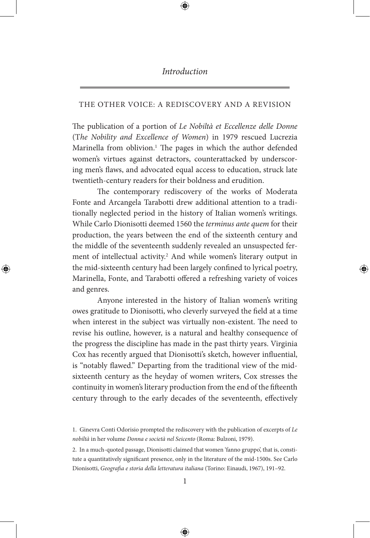## *Introduction*

## THE OTHER VOICE: A REDISCOVERY AND A REVISION

The publication of a portion of *Le Nobiltà et Eccellenze delle Donne* (T*he Nobility and Excellence of Women*) in 1979 rescued Lucrezia Marinella from oblivion.<sup>1</sup> The pages in which the author defended women's virtues against detractors, counterattacked by underscoring men's flaws, and advocated equal access to education, struck late twentieth-century readers for their boldness and erudition.

The contemporary rediscovery of the works of Moderata Fonte and Arcangela Tarabotti drew additional attention to a traditionally neglected period in the history of Italian women's writings. While Carlo Dionisotti deemed 1560 the *terminus ante quem* for their production, the years between the end of the sixteenth century and the middle of the seventeenth suddenly revealed an unsuspected ferment of intellectual activity.<sup>2</sup> And while women's literary output in the mid-sixteenth century had been largely confined to lyrical poetry, Marinella, Fonte, and Tarabotti offered a refreshing variety of voices and genres.

Anyone interested in the history of Italian women's writing owes gratitude to Dionisotti, who cleverly surveyed the field at a time when interest in the subject was virtually non-existent. The need to revise his outline, however, is a natural and healthy consequence of the progress the discipline has made in the past thirty years. Virginia Cox has recently argued that Dionisotti's sketch, however influential, is "notably flawed." Departing from the traditional view of the midsixteenth century as the heyday of women writers, Cox stresses the continuity in women's literary production from the end of the fifteenth century through to the early decades of the seventeenth, effectively

<sup>1.</sup> Ginevra Conti Odorisio prompted the rediscovery with the publication of excerpts of *Le nobiltà* in her volume *Donna e società nel Seicento* (Roma: Bulzoni, 1979).

<sup>2.</sup> In a much-quoted passage, Dionisotti claimed that women 'fanno gruppo', that is, constitute a quantitatively significant presence, only in the literature of the mid-1500s. See Carlo Dionisotti, *Geografia e storia della letteratura italiana* (Torino: Einaudi, 1967), 191–92.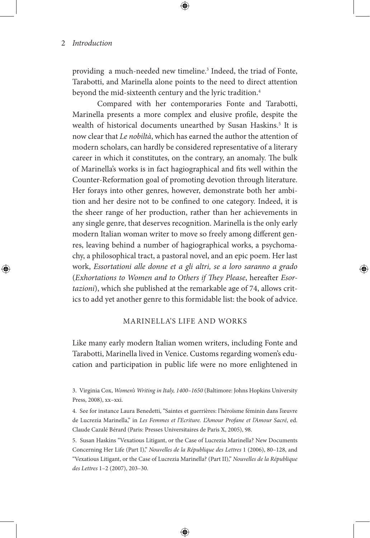providing a much-needed new timeline.<sup>3</sup> Indeed, the triad of Fonte, Tarabotti, and Marinella alone points to the need to direct attention beyond the mid-sixteenth century and the lyric tradition.<sup>4</sup>

Compared with her contemporaries Fonte and Tarabotti, Marinella presents a more complex and elusive profile, despite the wealth of historical documents unearthed by Susan Haskins.<sup>5</sup> It is now clear that *Le nobiltà*, which has earned the author the attention of modern scholars, can hardly be considered representative of a literary career in which it constitutes, on the contrary, an anomaly. The bulk of Marinella's works is in fact hagiographical and fits well within the Counter-Reformation goal of promoting devotion through literature. Her forays into other genres, however, demonstrate both her ambition and her desire not to be confined to one category. Indeed, it is the sheer range of her production, rather than her achievements in any single genre, that deserves recognition. Marinella is the only early modern Italian woman writer to move so freely among different genres, leaving behind a number of hagiographical works, a psychomachy, a philosophical tract, a pastoral novel, and an epic poem. Her last work, *Essortationi alle donne et a gli altri, se a loro saranno a grado*  (*Exhortations to Women and to Others if They Please*, hereafter *Esortazioni*), which she published at the remarkable age of 74, allows critics to add yet another genre to this formidable list: the book of advice.

## MARINELLA'S LIFE AND WORKS

Like many early modern Italian women writers, including Fonte and Tarabotti, Marinella lived in Venice. Customs regarding women's education and participation in public life were no more enlightened in

3. Virginia Cox, *Women's Writing in Italy, 1400–1650* (Baltimore: Johns Hopkins University Press, 2008), xx–xxi.

4. See for instance Laura Benedetti, "Saintes et guerrières: l'héroïsme féminin dans l'œuvre de Lucrezia Marinella," in *Les Femmes et l'Ecriture. L'Amour Profane et l'Amour Sacré*, ed. Claude Cazalé Bérard (Paris: Presses Universitaires de Paris X, 2005), 98.

5. Susan Haskins "Vexatious Litigant, or the Case of Lucrezia Marinella? New Documents Concerning Her Life (Part I)," *Nouvelles de la République des Lettres* 1 (2006), 80–128, and "Vexatious Litigant, or the Case of Lucrezia Marinella? (Part II)," *Nouvelles de la République des Lettres* 1–2 (2007), 203–30.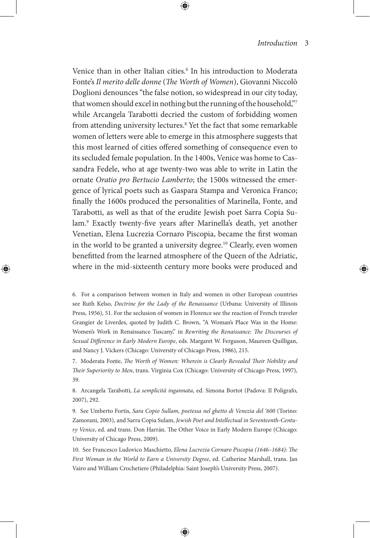Venice than in other Italian cities.<sup>6</sup> In his introduction to Moderata Fonte's *Il merito delle donne* (*The Worth of Women*), Giovanni Niccolò Doglioni denounces "the false notion, so widespread in our city today, that women should excel in nothing but the running of the household,"7 while Arcangela Tarabotti decried the custom of forbidding women from attending university lectures.8 Yet the fact that some remarkable women of letters were able to emerge in this atmosphere suggests that this most learned of cities offered something of consequence even to its secluded female population. In the 1400s, Venice was home to Cassandra Fedele, who at age twenty-two was able to write in Latin the ornate *Oratio pro Bertucio Lamberto*; the 1500s witnessed the emergence of lyrical poets such as Gaspara Stampa and Veronica Franco; finally the 1600s produced the personalities of Marinella, Fonte, and Tarabotti, as well as that of the erudite Jewish poet Sarra Copia Sulam.9 Exactly twenty-five years after Marinella's death, yet another Venetian, Elena Lucrezia Cornaro Piscopia, became the first woman in the world to be granted a university degree.<sup>10</sup> Clearly, even women benefitted from the learned atmosphere of the Queen of the Adriatic, where in the mid-sixteenth century more books were produced and

6. For a comparison between women in Italy and women in other European countries see Ruth Kelso, *Doctrine for the Lady of the Renaissance* (Urbana: University of Illinois Press, 1956), 51. For the seclusion of women in Florence see the reaction of French traveler Grangier de Liverdes, quoted by Judith C. Brown, "A Woman's Place Was in the Home: Women's Work in Renaissance Tuscany," in *Rewriting the Renaissance: The Discourses of Sexual Difference in Early Modern Europe*, eds. Margaret W. Ferguson, Maureen Quilligan, and Nancy J. Vickers (Chicago: University of Chicago Press, 1986), 215.

7. Moderata Fonte, *The Worth of Women: Wherein is Clearly Revealed Their Nobility and Their Superiority to Men*, trans. Virginia Cox (Chicago: University of Chicago Press, 1997), 39.

8. Arcangela Tarabotti, *La semplicità ingannata*, ed. Simona Bortot (Padova: Il Poligrafo, 2007), 292.

9. See Umberto Fortis, *Sara Copio Sullam, poetessa nel ghetto di Venezia del '600* (Torino: Zamorani, 2003), and Sarra Copia Sulam, *Jewish Poet and Intellectual in Seventeenth-Century Venice*, ed. and trans. Don Harrán. The Other Voice in Early Modern Europe (Chicago: University of Chicago Press, 2009).

10. See Francesco Ludovico Maschietto, *Elena Lucrezia Cornaro Piscopia (1646–1684): The First Woman in the World to Earn a University Degree*, ed. Catherine Marshall, trans. Jan Vairo and William Crochetiere (Philadelphia: Saint Joseph's University Press, 2007).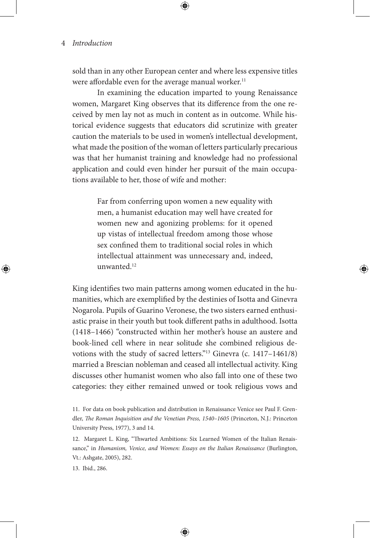sold than in any other European center and where less expensive titles were affordable even for the average manual worker.<sup>11</sup>

In examining the education imparted to young Renaissance women, Margaret King observes that its difference from the one received by men lay not as much in content as in outcome. While historical evidence suggests that educators did scrutinize with greater caution the materials to be used in women's intellectual development, what made the position of the woman of letters particularly precarious was that her humanist training and knowledge had no professional application and could even hinder her pursuit of the main occupations available to her, those of wife and mother:

> Far from conferring upon women a new equality with men, a humanist education may well have created for women new and agonizing problems: for it opened up vistas of intellectual freedom among those whose sex confined them to traditional social roles in which intellectual attainment was unnecessary and, indeed, unwanted.<sup>12</sup>

King identifies two main patterns among women educated in the humanities, which are exemplified by the destinies of Isotta and Ginevra Nogarola. Pupils of Guarino Veronese, the two sisters earned enthusiastic praise in their youth but took different paths in adulthood. Isotta (1418–1466) "constructed within her mother's house an austere and book-lined cell where in near solitude she combined religious devotions with the study of sacred letters."13 Ginevra (c. 1417–1461/8) married a Brescian nobleman and ceased all intellectual activity. King discusses other humanist women who also fall into one of these two categories: they either remained unwed or took religious vows and

<sup>11.</sup> For data on book publication and distribution in Renaissance Venice see Paul F. Grendler, *The Roman Inquisition and the Venetian Press, 1540–1605* (Princeton, N.J.: Princeton University Press, 1977), 3 and 14.

<sup>12.</sup> Margaret L. King, "Thwarted Ambitions: Six Learned Women of the Italian Renaissance," in *Humanism, Venice, and Women: Essays on the Italian Renaissance* (Burlington, Vt.: Ashgate, 2005), 282.

<sup>13.</sup> Ibid., 286.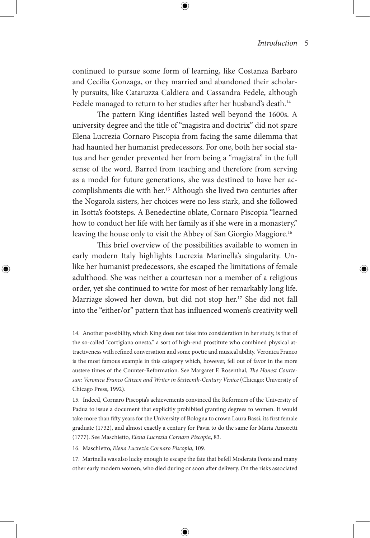continued to pursue some form of learning, like Costanza Barbaro and Cecilia Gonzaga, or they married and abandoned their scholarly pursuits, like Cataruzza Caldiera and Cassandra Fedele, although Fedele managed to return to her studies after her husband's death.<sup>14</sup>

The pattern King identifies lasted well beyond the 1600s. A university degree and the title of "magistra and doctrix" did not spare Elena Lucrezia Cornaro Piscopia from facing the same dilemma that had haunted her humanist predecessors. For one, both her social status and her gender prevented her from being a "magistra" in the full sense of the word. Barred from teaching and therefore from serving as a model for future generations, she was destined to have her accomplishments die with her.<sup>15</sup> Although she lived two centuries after the Nogarola sisters, her choices were no less stark, and she followed in Isotta's footsteps. A Benedectine oblate, Cornaro Piscopia "learned how to conduct her life with her family as if she were in a monastery," leaving the house only to visit the Abbey of San Giorgio Maggiore.<sup>16</sup>

This brief overview of the possibilities available to women in early modern Italy highlights Lucrezia Marinella's singularity. Unlike her humanist predecessors, she escaped the limitations of female adulthood. She was neither a courtesan nor a member of a religious order, yet she continued to write for most of her remarkably long life. Marriage slowed her down, but did not stop her.<sup>17</sup> She did not fall into the "either/or" pattern that has influenced women's creativity well

14. Another possibility, which King does not take into consideration in her study, is that of the so-called "cortigiana onesta," a sort of high-end prostitute who combined physical attractiveness with refined conversation and some poetic and musical ability. Veronica Franco is the most famous example in this category which, however, fell out of favor in the more austere times of the Counter-Reformation. See Margaret F. Rosenthal, *The Honest Courtesan: Veronica Franco Citizen and Writer in Sixteenth-Century Venice* (Chicago: University of Chicago Press, 1992).

15. Indeed, Cornaro Piscopia's achievements convinced the Reformers of the University of Padua to issue a document that explicitly prohibited granting degrees to women. It would take more than fifty years for the University of Bologna to crown Laura Bassi, its first female graduate (1732), and almost exactly a century for Pavia to do the same for Maria Amoretti (1777). See Maschietto, *Elena Lucrezia Cornaro Piscopia*, 83.

16. Maschietto, *Elena Lucrezia Cornaro Piscopia*, 109.

17. Marinella was also lucky enough to escape the fate that befell Moderata Fonte and many other early modern women, who died during or soon after delivery. On the risks associated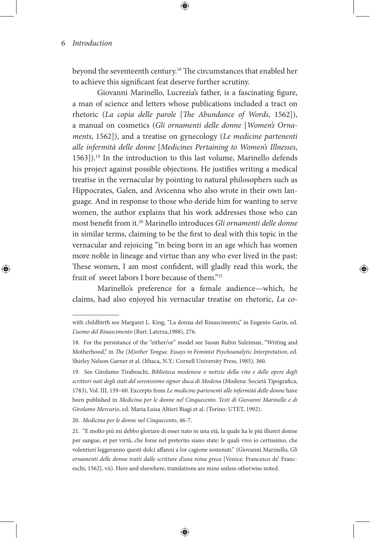beyond the seventeenth century.18 The circumstances that enabled her to achieve this significant feat deserve further scrutiny.

Giovanni Marinello, Lucrezia's father, is a fascinating figure, a man of science and letters whose publications included a tract on rhetoric (*La copia delle parole* [*The Abundance of Words*, 1562]), a manual on cosmetics (*Gli ornamenti delle donne* [*Women's Ornaments*, 1562]), and a treatise on gynecology (*Le medicine partenenti alle infermità delle donne* [*Medicines Pertaining to Women's Illnesses*, 1563]).19 In the introduction to this last volume, Marinello defends his project against possible objections. He justifies writing a medical treatise in the vernacular by pointing to natural philosophers such as Hippocrates, Galen, and Avicenna who also wrote in their own language. And in response to those who deride him for wanting to serve women, the author explains that his work addresses those who can most benefit from it.20 Marinello introduces *Gli ornamenti delle donne*  in similar terms, claiming to be the first to deal with this topic in the vernacular and rejoicing "in being born in an age which has women more noble in lineage and virtue than any who ever lived in the past: These women, I am most confident, will gladly read this work, the fruit of sweet labors I bore because of them."<sup>21</sup>

Marinello's preference for a female audience—which, he claims, had also enjoyed his vernacular treatise on rhetoric, *La co-*

20. *Medicina per le donne nel Cinquecento*, 46-7.

with childbirth see Margaret L. King, "La donna del Rinascimento," in Eugenio Garin, ed. *L'uomo del Rinascimento* (Bari: Laterza,1988), 276.

<sup>18.</sup> For the persistance of the "either/or" model see Susan Rubin Suleiman, "Writing and Motherhood," in *The (M)other Tongue. Essays in Feminist Psychoanalytic Interpretation*, ed. Shirley Nelson Garner et al. (Ithaca, N.Y.: Cornell University Press, 1985), 360.

<sup>19.</sup> See Girolamo Tiraboschi, *Biblioteca modenese o notizie della vita e delle opere degli scrittori nati degli stati del serenissimo signor duca di Modena* (Modena: Società Tipografica, 1783), Vol. III, 159–60. Excerpts from *Le medicine partenenti alle infermità delle donne* have been published in *Medicina per le donne nel Cinquecento. Testi di Giovanni Marinello e di Girolamo Mercurio*, ed. Maria Luisa Altieri Biagi et al. (Torino: UTET, 1992).

<sup>21. &</sup>quot;E molto piú mi debbo gloriare di esser nato in una età, la quale ha le piú illustri donne per sangue, et per virtù, che forse nel preterito siano state: le quali vivo io certissimo, che volentieri leggeranno questi dolci affanni a lor cagione sostenuti." (Giovanni Marinello, *Gli ornamenti delle donne tratti dalle scritture d'una reina greca* [Venice: Francesco de' Franceschi, 1562], vii). Here and elsewhere, translations are mine unless otherwise noted.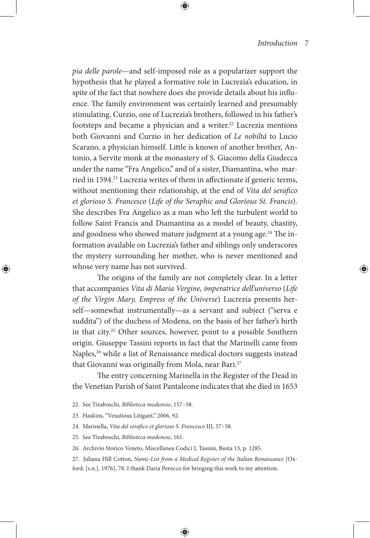*pia delle parole*—and self-imposed role as a popularizer support the hypothesis that he played a formative role in Lucrezia's education, in spite of the fact that nowhere does she provide details about his influence. The family environment was certainly learned and presumably stimulating. Curzio, one of Lucrezia's brothers, followed in his father's footsteps and became a physician and a writer.<sup>22</sup> Lucrezia mentions both Giovanni and Curzio in her dedication of *Le nobiltà* to Lucio Scarano, a physician himself. Little is known of another brother, Antonio, a Servite monk at the monastery of S. Giacomo della Giudecca under the name "Fra Angelico," and of a sister, Diamantina, who married in 1594.<sup>23</sup> Lucrezia writes of them in affectionate if generic terms, without mentioning their relationship, at the end of *Vita del serafico et glorioso S. Francesco* (*Life of the Seraphic and Glorious St. Francis*). She describes Fra Angelico as a man who left the turbulent world to follow Saint Francis and Diamantina as a model of beauty, chastity, and goodness who showed mature judgment at a young age.<sup>24</sup> The information available on Lucrezia's father and siblings only underscores the mystery surrounding her mother, who is never mentioned and whose very name has not survived.

The origins of the family are not completely clear. In a letter that accompanies *Vita di Maria Vergine, imperatrice dell'universo* (*Life of the Virgin Mary, Empress of the Universe*) Lucrezia presents herself—somewhat instrumentally—as a servant and subject ("serva e suddita") of the duchess of Modena, on the basis of her father's birth in that city.25 Other sources, however, point to a possible Southern origin. Giuseppe Tassini reports in fact that the Marinelli came from Naples,<sup>26</sup> while a list of Renaissance medical doctors suggests instead that Giovanni was originally from Mola, near Bari.27

The entry concerning Marinella in the Register of the Dead in the Venetian Parish of Saint Pantaleone indicates that she died in 1653

- 22. See Tiraboschi, *Biblioteca modenese*, 157–58.
- 23. Haskins, "Vexatious Litigant," 2006, 92.
- 24. Marinella, *Vita del serafico et glorioso S. Francesco* III, 57–58.
- 25. See Tiraboschi, *Biblioteca modenese*, 161.
- 26. Archivio Storico Veneto, Miscellanea Codici I, Tassini, Busta 13, p. 1285.
- 27. Juliana Hill Cotton, *Name-List from a Medical Register of the Italian Renaissance* [Oxford: [s.n.], 1976], 78. I thank Daria Perocco for bringing this work to my attention.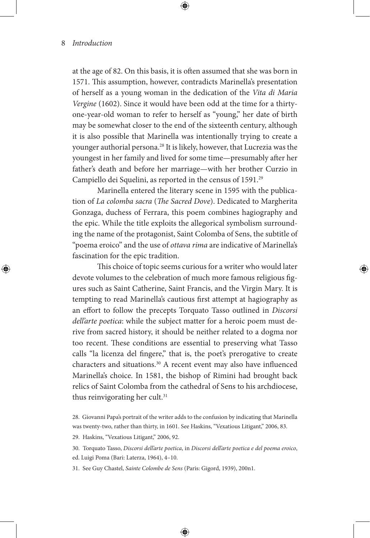at the age of 82. On this basis, it is often assumed that she was born in 1571. This assumption, however, contradicts Marinella's presentation of herself as a young woman in the dedication of the *Vita di Maria Vergine* (1602). Since it would have been odd at the time for a thirtyone-year-old woman to refer to herself as "young," her date of birth may be somewhat closer to the end of the sixteenth century, although it is also possible that Marinella was intentionally trying to create a younger authorial persona.28 It is likely, however, that Lucrezia was the youngest in her family and lived for some time—presumably after her father's death and before her marriage—with her brother Curzio in Campiello dei Squelini, as reported in the census of 1591.<sup>29</sup>

Marinella entered the literary scene in 1595 with the publication of *La colomba sacra* (*The Sacred Dove*). Dedicated to Margherita Gonzaga, duchess of Ferrara, this poem combines hagiography and the epic. While the title exploits the allegorical symbolism surrounding the name of the protagonist, Saint Colomba of Sens, the subtitle of "poema eroico" and the use of *ottava rima* are indicative of Marinella's fascination for the epic tradition.

This choice of topic seems curious for a writer who would later devote volumes to the celebration of much more famous religious figures such as Saint Catherine, Saint Francis, and the Virgin Mary. It is tempting to read Marinella's cautious first attempt at hagiography as an effort to follow the precepts Torquato Tasso outlined in *Discorsi dell'arte poetica*: while the subject matter for a heroic poem must derive from sacred history, it should be neither related to a dogma nor too recent. These conditions are essential to preserving what Tasso calls "la licenza del fingere," that is, the poet's prerogative to create characters and situations.30 A recent event may also have influenced Marinella's choice. In 1581, the bishop of Rimini had brought back relics of Saint Colomba from the cathedral of Sens to his archdiocese, thus reinvigorating her cult.<sup>31</sup>

29. Haskins, "Vexatious Litigant," 2006, 92.

ed. Luigi Poma (Bari: Laterza, 1964), 4–10.

31. See Guy Chastel, *Sainte Colombe de Sens* (Paris: Gigord, 1939), 200n1.

<sup>28.</sup> Giovanni Papa's portrait of the writer adds to the confusion by indicating that Marinella was twenty-two, rather than thirty, in 1601. See Haskins, "Vexatious Litigant," 2006, 83.

<sup>30.</sup> Torquato Tasso, *Discorsi dell'arte poetica*, in *Discorsi dell'arte poetica e del poema eroico*,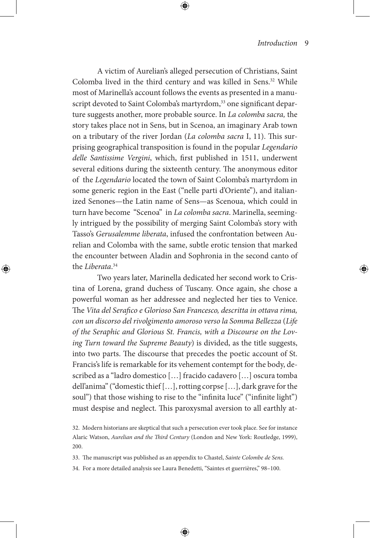A victim of Aurelian's alleged persecution of Christians, Saint Colomba lived in the third century and was killed in Sens.32 While most of Marinella's account follows the events as presented in a manuscript devoted to Saint Colomba's martyrdom,<sup>33</sup> one significant departure suggests another, more probable source. In *La colomba sacra,* the story takes place not in Sens, but in Scenoa, an imaginary Arab town on a tributary of the river Jordan (*La colomba sacra* I, 11). This surprising geographical transposition is found in the popular *Legendario delle Santissime Vergini*, which, first published in 1511, underwent several editions during the sixteenth century. The anonymous editor of the *Legendario* located the town of Saint Colomba's martyrdom in some generic region in the East ("nelle parti d'Oriente"), and italianized Senones—the Latin name of Sens—as Scenoua, which could in turn have become "Scenoa" in *La colomba sacra*. Marinella, seemingly intrigued by the possibility of merging Saint Colomba's story with Tasso's *Gerusalemme liberata*, infused the confrontation between Aurelian and Colomba with the same, subtle erotic tension that marked the encounter between Aladin and Sophronia in the second canto of the *Liberata*. 34

Two years later, Marinella dedicated her second work to Cristina of Lorena, grand duchess of Tuscany. Once again, she chose a powerful woman as her addressee and neglected her ties to Venice. The *Vita del Serafico e Glorioso San Francesco, descritta in ottava rima, con un discorso del rivolgimento amoroso verso la Somma Bellezza* (*Life of the Seraphic and Glorious St. Francis, with a Discourse on the Loving Turn toward the Supreme Beauty*) is divided, as the title suggests, into two parts. The discourse that precedes the poetic account of St. Francis's life is remarkable for its vehement contempt for the body, described as a "ladro domestico […] fracido cadavero […] oscura tomba dell'anima" ("domestic thief […], rotting corpse […], dark grave for the soul") that those wishing to rise to the "infinita luce" ("infinite light") must despise and neglect. This paroxysmal aversion to all earthly at-

<sup>32.</sup> Modern historians are skeptical that such a persecution ever took place. See for instance Alaric Watson, *Aurelian and the Third Century* (London and New York: Routledge, 1999), 200.

<sup>33.</sup> The manuscript was published as an appendix to Chastel, *Sainte Colombe de Sens.*

<sup>34.</sup> For a more detailed analysis see Laura Benedetti, "Saintes et guerrières," 98–100.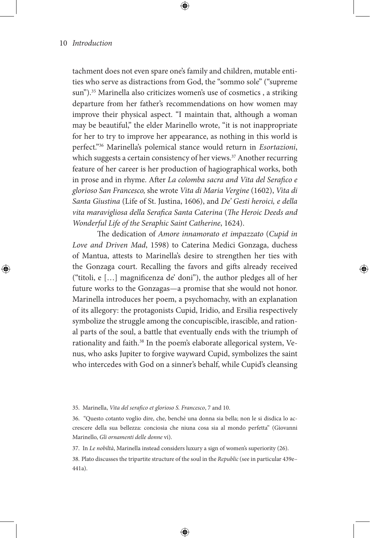tachment does not even spare one's family and children, mutable entities who serve as distractions from God, the "sommo sole" ("supreme sun").35 Marinella also criticizes women's use of cosmetics , a striking departure from her father's recommendations on how women may improve their physical aspect. "I maintain that, although a woman may be beautiful," the elder Marinello wrote, "it is not inappropriate for her to try to improve her appearance, as nothing in this world is perfect."36 Marinella's polemical stance would return in *Esortazioni*, which suggests a certain consistency of her views.<sup>37</sup> Another recurring feature of her career is her production of hagiographical works, both in prose and in rhyme. After *La colomba sacra and Vita del Serafico e glorioso San Francesco,* she wrote *Vita di Maria Vergine* (1602), *Vita di Santa Giustina* (Life of St. Justina, 1606), and *De' Gesti heroici, e della vita maravigliosa della Serafica Santa Caterina* (*The Heroic Deeds and Wonderful Life of the Seraphic Saint Catherine*, 1624).

The dedication of *Amore innamorato et impazzato* (*Cupid in Love and Driven Mad*, 1598) to Caterina Medici Gonzaga, duchess of Mantua, attests to Marinella's desire to strengthen her ties with the Gonzaga court. Recalling the favors and gifts already received ("titoli, e […] magnificenza de' doni"), the author pledges all of her future works to the Gonzagas—a promise that she would not honor. Marinella introduces her poem, a psychomachy, with an explanation of its allegory: the protagonists Cupid, Iridio, and Ersilia respectively symbolize the struggle among the concupiscible, irascible, and rational parts of the soul, a battle that eventually ends with the triumph of rationality and faith.<sup>38</sup> In the poem's elaborate allegorical system, Venus, who asks Jupiter to forgive wayward Cupid, symbolizes the saint who intercedes with God on a sinner's behalf, while Cupid's cleansing

35. Marinella, *Vita del serafico et glorioso S. Francesco*, 7 and 10.

37. In *Le nobiltà*, Marinella instead considers luxury a sign of women's superiority (26).

38. Plato discusses the tripartite structure of the soul in the *Republic* (see in particular 439e– 441a).

<sup>36. &</sup>quot;Questo cotanto voglio dire, che, benché una donna sia bella; non le si disdica lo accrescere della sua bellezza: conciosia che niuna cosa sia al mondo perfetta" (Giovanni Marinello, *Gli ornamenti delle donne* vi).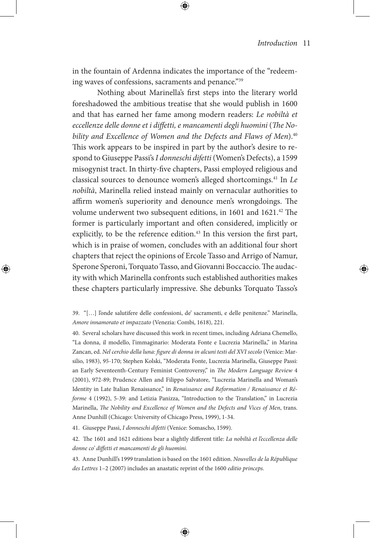in the fountain of Ardenna indicates the importance of the "redeeming waves of confessions, sacraments and penance."39

Nothing about Marinella's first steps into the literary world foreshadowed the ambitious treatise that she would publish in 1600 and that has earned her fame among modern readers: *Le nobiltà et*  eccellenze delle donne et *i* diffetti, e mancamenti degli huomini (The Nobility and Excellence of Women and the Defects and Flaws of Men).<sup>40</sup> This work appears to be inspired in part by the author's desire to respond to Giuseppe Passi's *I donneschi difetti* (Women's Defects), a 1599 misogynist tract. In thirty-five chapters, Passi employed religious and classical sources to denounce women's alleged shortcomings.41 In *Le nobiltà*, Marinella relied instead mainly on vernacular authorities to affirm women's superiority and denounce men's wrongdoings. The volume underwent two subsequent editions, in 1601 and 1621.<sup>42</sup> The former is particularly important and often considered, implicitly or explicitly, to be the reference edition. $43$  In this version the first part, which is in praise of women, concludes with an additional four short chapters that reject the opinions of Ercole Tasso and Arrigo of Namur, Sperone Speroni, Torquato Tasso, and Giovanni Boccaccio. The audacity with which Marinella confronts such established authorities makes these chapters particularly impressive. She debunks Torquato Tasso's

40. Several scholars have discussed this work in recent times, including Adriana Chemello, "La donna, il modello, l'immaginario: Moderata Fonte e Lucrezia Marinella," in Marina Zancan, ed. *Nel cerchio della luna: figure di donna in alcuni testi del XVI secolo* (Venice: Marsilio, 1983), 95-170; Stephen Kolski, "Moderata Fonte, Lucrezia Marinella, Giuseppe Passi: an Early Seventeenth-Century Feminist Controversy," in *The Modern Language Review* 4 (2001), 972-89; Prudence Allen and Filippo Salvatore, "Lucrezia Marinella and Woman's Identity in Late Italian Renaissance," in *Renaissance and Reformation / Renaissance et Réforme* 4 (1992), 5-39: and Letizia Panizza, "Introduction to the Translation," in Lucrezia Marinella, *The Nobility and Excellence of Women and the Defects and Vices of Men*, trans. Anne Dunhill (Chicago: University of Chicago Press, 1999), 1-34.

41. Giuseppe Passi, *I donneschi difetti* (Venice: Somascho, 1599).

42. The 1601 and 1621 editions bear a slightly different title: *La nobiltà et l'eccellenza delle donne co' diffetti et mancamenti de gli huomini.*

43. Anne Dunhill's 1999 translation is based on the 1601 edition. *Nouvelles de la République des Lettres* 1–2 (2007) includes an anastatic reprint of the 1600 *editio princeps.*

<sup>39. &</sup>quot;[…] l'onde salutifere delle confessioni, de' sacramenti, e delle penitenze." Marinella, *Amore innamorato et impazzato* (Venezia: Combi, 1618), 221.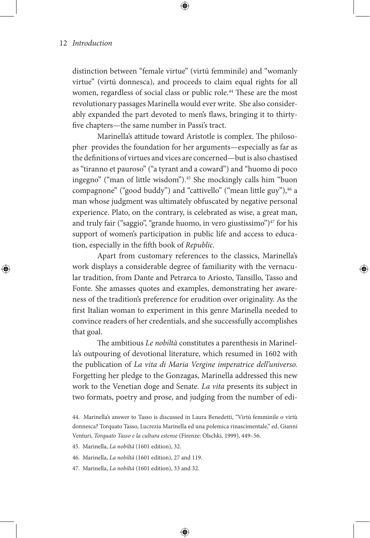distinction between "female virtue" (virtú femminile) and "womanly virtue" (virtú donnesca), and proceeds to claim equal rights for all women, regardless of social class or public role.<sup>44</sup> These are the most revolutionary passages Marinella would ever write. She also considerably expanded the part devoted to men's flaws, bringing it to thirtyfive chapters—the same number in Passi's tract.

Marinella's attitude toward Aristotle is complex. The philosopher provides the foundation for her arguments—especially as far as the definitions of virtues and vices are concerned—but is also chastised as "tiranno et pauroso" ("a tyrant and a coward") and "huomo di poco ingegno" ("man of little wisdom").<sup>45</sup> She mockingly calls him "buon compagnone" ("good buddy") and "cattivello" ("mean little guy"), $46$  a man whose judgment was ultimately obfuscated by negative personal experience. Plato, on the contrary, is celebrated as wise, a great man, and truly fair ("saggio", "grande huomo, in vero giustissimo")<sup>47</sup> for his support of women's participation in public life and access to education, especially in the fifth book of *Republic*.

Apart from customary references to the classics, Marinella's work displays a considerable degree of familiarity with the vernacular tradition, from Dante and Petrarca to Ariosto, Tansillo, Tasso and Fonte. She amasses quotes and examples, demonstrating her awareness of the tradition's preference for erudition over originality. As the first Italian woman to experiment in this genre Marinella needed to convince readers of her credentials, and she successfully accomplishes that goal.

The ambitious *Le nobiltà* constitutes a parenthesis in Marinella's outpouring of devotional literature, which resumed in 1602 with the publication of *La vita di Maria Vergine imperatrice dell'universo.* Forgetting her pledge to the Gonzagas, Marinella addressed this new work to the Venetian doge and Senate*. La vita* presents its subject in two formats, poetry and prose, and judging from the number of edi-

45. Marinella, *La nobiltà* (1601 edition), 32.

46. Marinella, *La nobiltà* (1601 edition), 27 and 119.

47. Marinella, *La nobiltà* (1601 edition), 33 and 32.

<sup>44.</sup> Marinella's answer to Tasso is discussed in Laura Benedetti, "Virtù femminile o virtù donnesca? Torquato Tasso, Lucrezia Marinella ed una polemica rinascimentale," ed. Gianni Venturi, *Torquato Tasso e la cultura estense* (Firenze: Olschki, 1999), 449–56.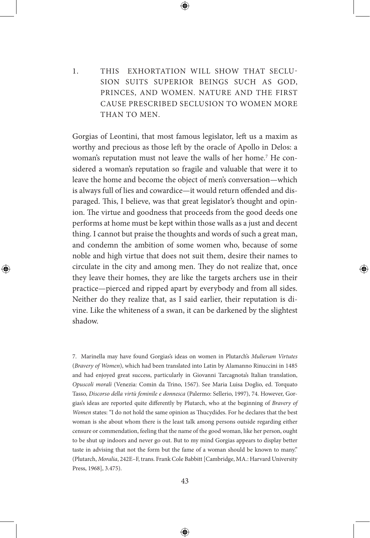1. THIS EXHORTATION WILL SHOW THAT SECLU-SION SUITS SUPERIOR BEINGS SUCH AS GOD, PRINCES, AND WOMEN. NATURE AND THE FIRST CAUSE PRESCRIBED SECLUSION TO WOMEN MORE THAN TO MEN.

Gorgias of Leontini, that most famous legislator, left us a maxim as worthy and precious as those left by the oracle of Apollo in Delos: a woman's reputation must not leave the walls of her home.<sup>7</sup> He considered a woman's reputation so fragile and valuable that were it to leave the home and become the object of men's conversation—which is always full of lies and cowardice—it would return offended and disparaged. This, I believe, was that great legislator's thought and opinion. The virtue and goodness that proceeds from the good deeds one performs at home must be kept within those walls as a just and decent thing. I cannot but praise the thoughts and words of such a great man, and condemn the ambition of some women who, because of some noble and high virtue that does not suit them, desire their names to circulate in the city and among men. They do not realize that, once they leave their homes, they are like the targets archers use in their practice—pierced and ripped apart by everybody and from all sides. Neither do they realize that, as I said earlier, their reputation is divine. Like the whiteness of a swan, it can be darkened by the slightest shadow.

7. Marinella may have found Gorgias's ideas on women in Plutarch's *Mulierum Virtutes*  (*Bravery of Women*), which had been translated into Latin by Alamanno Rinuccini in 1485 and had enjoyed great success, particularly in Giovanni Tarcagnota's Italian translation, *Opuscoli morali* (Venezia: Comin da Trino, 1567). See Maria Luisa Doglio, ed. Torquato Tasso, *Discorso della virtù feminile e donnesca* (Palermo: Sellerio, 1997), 74. However, Gorgias's ideas are reported quite differently by Plutarch, who at the beginning of *Bravery of Women* states: "I do not hold the same opinion as Thucydides. For he declares that the best woman is she about whom there is the least talk among persons outside regarding either censure or commendation, feeling that the name of the good woman, like her person, ought to be shut up indoors and never go out. But to my mind Gorgias appears to display better taste in advising that not the form but the fame of a woman should be known to many." (Plutarch, *Moralia*, 242E–F, trans. Frank Cole Babbitt [Cambridge, MA.: Harvard University Press, 1968], 3.475).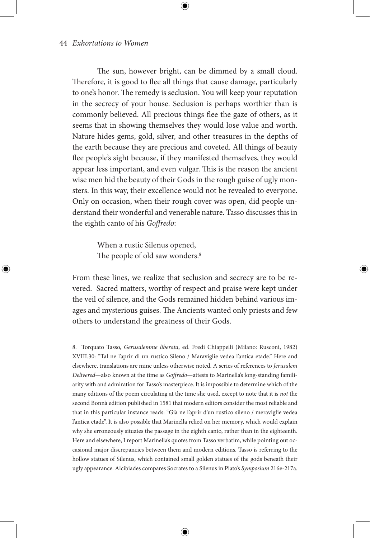The sun, however bright, can be dimmed by a small cloud. Therefore, it is good to flee all things that cause damage, particularly to one's honor. The remedy is seclusion. You will keep your reputation in the secrecy of your house. Seclusion is perhaps worthier than is commonly believed. All precious things flee the gaze of others, as it seems that in showing themselves they would lose value and worth. Nature hides gems, gold, silver, and other treasures in the depths of the earth because they are precious and coveted. All things of beauty flee people's sight because, if they manifested themselves, they would appear less important, and even vulgar. This is the reason the ancient wise men hid the beauty of their Gods in the rough guise of ugly monsters. In this way, their excellence would not be revealed to everyone. Only on occasion, when their rough cover was open, did people understand their wonderful and venerable nature. Tasso discusses this in the eighth canto of his *Goffredo*:

> When a rustic Silenus opened, The people of old saw wonders.<sup>8</sup>

From these lines, we realize that seclusion and secrecy are to be revered. Sacred matters, worthy of respect and praise were kept under the veil of silence, and the Gods remained hidden behind various images and mysterious guises. The Ancients wanted only priests and few others to understand the greatness of their Gods.

8. Torquato Tasso, *Gerusalemme liberata*, ed. Fredi Chiappelli (Milano: Rusconi, 1982) XVIII.30: "Tal ne l'aprir di un rustico Sileno / Maraviglie vedea l'antica etade." Here and elsewhere, translations are mine unless otherwise noted. A series of references to *Jerusalem Delivered*—also known at the time as *Goffredo*—attests to Marinella's long-standing familiarity with and admiration for Tasso's masterpiece. It is impossible to determine which of the many editions of the poem circulating at the time she used, except to note that it is *not* the second Bonnà edition published in 1581 that modern editors consider the most reliable and that in this particular instance reads: "Già ne l'aprir d'un rustico sileno / meraviglie vedea l'antica etade". It is also possible that Marinella relied on her memory, which would explain why she erroneously situates the passage in the eighth canto, rather than in the eighteenth. Here and elsewhere, I report Marinella's quotes from Tasso verbatim, while pointing out occasional major discrepancies between them and modern editions. Tasso is referring to the hollow statues of Silenus, which contained small golden statues of the gods beneath their ugly appearance. Alcibiades compares Socrates to a Silenus in Plato's *Symposium* 216e-217a.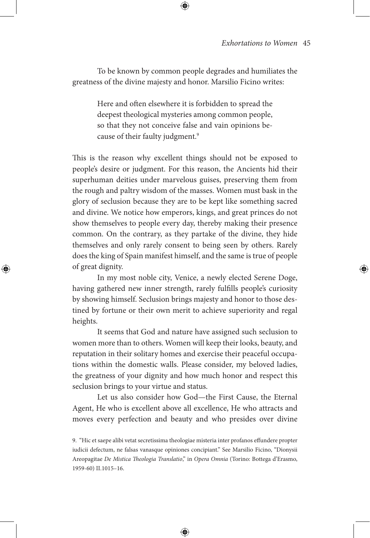To be known by common people degrades and humiliates the greatness of the divine majesty and honor. Marsilio Ficino writes:

> Here and often elsewhere it is forbidden to spread the deepest theological mysteries among common people, so that they not conceive false and vain opinions because of their faulty judgment.<sup>9</sup>

This is the reason why excellent things should not be exposed to people's desire or judgment. For this reason, the Ancients hid their superhuman deities under marvelous guises, preserving them from the rough and paltry wisdom of the masses. Women must bask in the glory of seclusion because they are to be kept like something sacred and divine. We notice how emperors, kings, and great princes do not show themselves to people every day, thereby making their presence common. On the contrary, as they partake of the divine, they hide themselves and only rarely consent to being seen by others. Rarely does the king of Spain manifest himself, and the same is true of people of great dignity.

In my most noble city, Venice, a newly elected Serene Doge, having gathered new inner strength, rarely fulfills people's curiosity by showing himself. Seclusion brings majesty and honor to those destined by fortune or their own merit to achieve superiority and regal heights.

It seems that God and nature have assigned such seclusion to women more than to others. Women will keep their looks, beauty, and reputation in their solitary homes and exercise their peaceful occupations within the domestic walls. Please consider, my beloved ladies, the greatness of your dignity and how much honor and respect this seclusion brings to your virtue and status.

Let us also consider how God—the First Cause, the Eternal Agent, He who is excellent above all excellence, He who attracts and moves every perfection and beauty and who presides over divine

<sup>9. &</sup>quot;Hic et saepe alibi vetat secretissima theologiae misteria inter profanos effundere propter iudicii defectum, ne falsas vanasque opiniones concipiant." See Marsilio Ficino, "Dionysii Areopagitae *De Mistica Theologia Translatio*," in *Opera Omnia* (Torino: Bottega d'Erasmo, 1959-60) II.1015–16.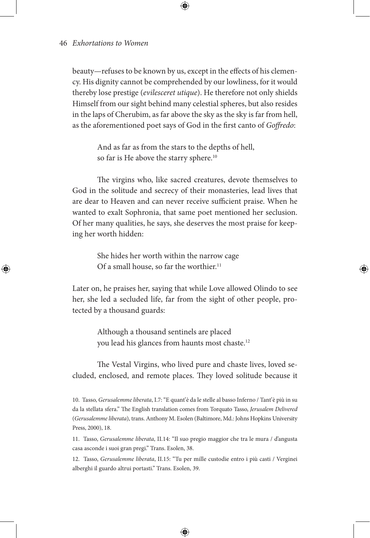beauty—refuses to be known by us, except in the effects of his clemency. His dignity cannot be comprehended by our lowliness, for it would thereby lose prestige (*evilesceret utique*). He therefore not only shields Himself from our sight behind many celestial spheres, but also resides in the laps of Cherubim, as far above the sky as the sky is far from hell, as the aforementioned poet says of God in the first canto of *Goffredo*:

> And as far as from the stars to the depths of hell, so far is He above the starry sphere.<sup>10</sup>

The virgins who, like sacred creatures, devote themselves to God in the solitude and secrecy of their monasteries, lead lives that are dear to Heaven and can never receive sufficient praise. When he wanted to exalt Sophronia, that same poet mentioned her seclusion. Of her many qualities, he says, she deserves the most praise for keeping her worth hidden:

> She hides her worth within the narrow cage Of a small house, so far the worthier.<sup>11</sup>

Later on, he praises her, saying that while Love allowed Olindo to see her, she led a secluded life, far from the sight of other people, protected by a thousand guards:

> Although a thousand sentinels are placed you lead his glances from haunts most chaste.12

The Vestal Virgins, who lived pure and chaste lives, loved secluded, enclosed, and remote places. They loved solitude because it

11. Tasso, *Gerusalemme liberata*, II.14: "Il suo pregio maggior che tra le mura / d'angusta casa asconde i suoi gran pregi." Trans. Esolen, 38.

12. Tasso, *Gerusalemme liberata*, II.15: "Tu per mille custodie entro i più casti / Verginei alberghi il guardo altrui portasti." Trans. Esolen, 39.

<sup>10.</sup> Tasso, *Gerusalemme liberata*, I.7: "E quant' è da le stelle al basso Inferno / Tant' è più in su da la stellata sfera." The English translation comes from Torquato Tasso, *Jerusalem Delivered* (*Gerusalemme liberata*), trans. Anthony M. Esolen (Baltimore, Md.: Johns Hopkins University Press, 2000), 18.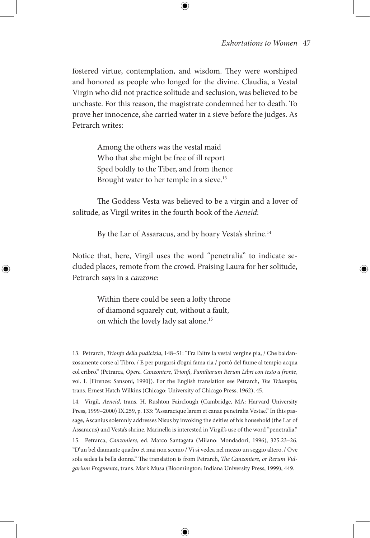fostered virtue, contemplation, and wisdom. They were worshiped and honored as people who longed for the divine. Claudia, a Vestal Virgin who did not practice solitude and seclusion, was believed to be unchaste. For this reason, the magistrate condemned her to death. To prove her innocence, she carried water in a sieve before the judges. As Petrarch writes:

> Among the others was the vestal maid Who that she might be free of ill report Sped boldly to the Tiber, and from thence Brought water to her temple in a sieve.<sup>13</sup>

The Goddess Vesta was believed to be a virgin and a lover of solitude, as Virgil writes in the fourth book of the *Aeneid*:

By the Lar of Assaracus, and by hoary Vesta's shrine.<sup>14</sup>

Notice that, here, Virgil uses the word "penetralia" to indicate secluded places, remote from the crowd. Praising Laura for her solitude, Petrarch says in a *canzone*:

> Within there could be seen a lofty throne of diamond squarely cut, without a fault, on which the lovely lady sat alone.15

13. Petrarch, *Trionfo della pudicizia*, 148–51: "Fra l'altre la vestal vergine pia, / Che baldanzosamente corse al Tibro, / E per purgarsi d'ogni fama ria / portò del fiume al tempio acqua col cribro." (Petrarca, *Opere. Canzoniere, Trionfi, Familiarum Rerum Libri con testo a fronte*, vol. I. [Firenze: Sansoni, 1990]). For the English translation see Petrarch, *The Triumphs*, trans. Ernest Hatch Wilkins (Chicago: University of Chicago Press, 1962), 45.

14. Virgil, *Aeneid*, trans. H. Rushton Fairclough (Cambridge, MA: Harvard University Press, 1999–2000) IX.259, p. 133: "Assaracique larem et canae penetralia Vestae." In this passage, Ascanius solemnly addresses Nisus by invoking the deities of his household (the Lar of Assaracus) and Vesta's shrine. Marinella is interested in Virgil's use of the word "penetralia."

15. Petrarca, *Canzoniere*, ed. Marco Santagata (Milano: Mondadori, 1996), 325.23–26. "D'un bel diamante quadro et mai non scemo / Vi si vedea nel mezzo un seggio altero, / Ove sola sedea la bella donna." The translation is from Petrarch, *The Canzoniere, or Rerum Vulgarium Fragmenta*, trans. Mark Musa (Bloomington: Indiana University Press, 1999), 449.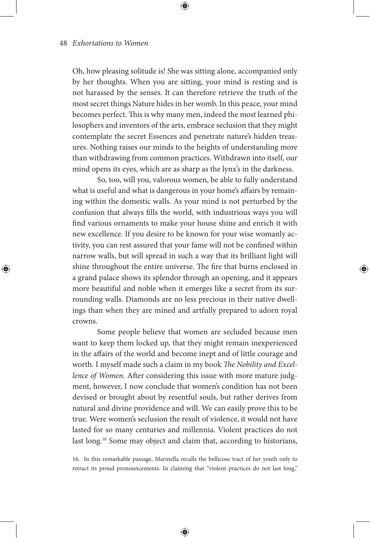Oh, how pleasing solitude is! She was sitting alone, accompanied only by her thoughts. When you are sitting, your mind is resting and is not harassed by the senses. It can therefore retrieve the truth of the most secret things Nature hides in her womb. In this peace, your mind becomes perfect. This is why many men, indeed the most learned philosophers and inventors of the arts, embrace seclusion that they might contemplate the secret Essences and penetrate nature's hidden treasures. Nothing raises our minds to the heights of understanding more than withdrawing from common practices. Withdrawn into itself, our mind opens its eyes, which are as sharp as the lynx's in the darkness.

So, too, will you, valorous women, be able to fully understand what is useful and what is dangerous in your home's affairs by remaining within the domestic walls. As your mind is not perturbed by the confusion that always fills the world, with industrious ways you will find various ornaments to make your house shine and enrich it with new excellence. If you desire to be known for your wise womanly activity, you can rest assured that your fame will not be confined within narrow walls, but will spread in such a way that its brilliant light will shine throughout the entire universe. The fire that burns enclosed in a grand palace shows its splendor through an opening, and it appears more beautiful and noble when it emerges like a secret from its surrounding walls. Diamonds are no less precious in their native dwellings than when they are mined and artfully prepared to adorn royal crowns.

Some people believe that women are secluded because men want to keep them locked up, that they might remain inexperienced in the affairs of the world and become inept and of little courage and worth. I myself made such a claim in my book *The Nobility and Excellence of Women*. After considering this issue with more mature judgment, however, I now conclude that women's condition has not been devised or brought about by resentful souls, but rather derives from natural and divine providence and will. We can easily prove this to be true. Were women's seclusion the result of violence, it would not have lasted for so many centuries and millennia. Violent practices do not last long.<sup>16</sup> Some may object and claim that, according to historians,

16. In this remarkable passage, Marinella recalls the bellicose tract of her youth only to retract its proud pronouncements. In claiming that "violent practices do not last long,"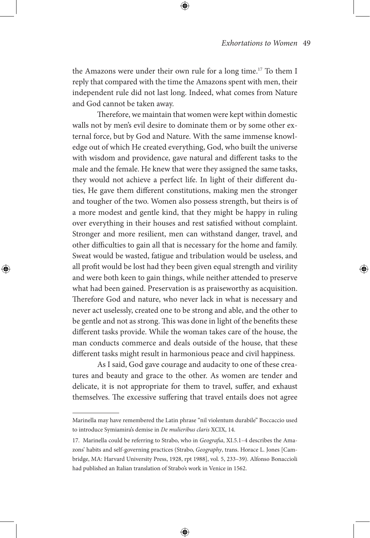the Amazons were under their own rule for a long time.<sup>17</sup> To them I reply that compared with the time the Amazons spent with men, their independent rule did not last long. Indeed, what comes from Nature and God cannot be taken away.

Therefore, we maintain that women were kept within domestic walls not by men's evil desire to dominate them or by some other external force, but by God and Nature. With the same immense knowledge out of which He created everything, God, who built the universe with wisdom and providence, gave natural and different tasks to the male and the female. He knew that were they assigned the same tasks, they would not achieve a perfect life. In light of their different duties, He gave them different constitutions, making men the stronger and tougher of the two. Women also possess strength, but theirs is of a more modest and gentle kind, that they might be happy in ruling over everything in their houses and rest satisfied without complaint. Stronger and more resilient, men can withstand danger, travel, and other difficulties to gain all that is necessary for the home and family. Sweat would be wasted, fatigue and tribulation would be useless, and all profit would be lost had they been given equal strength and virility and were both keen to gain things, while neither attended to preserve what had been gained. Preservation is as praiseworthy as acquisition. Therefore God and nature, who never lack in what is necessary and never act uselessly, created one to be strong and able, and the other to be gentle and not as strong. This was done in light of the benefits these different tasks provide. While the woman takes care of the house, the man conducts commerce and deals outside of the house, that these different tasks might result in harmonious peace and civil happiness.

As I said, God gave courage and audacity to one of these creatures and beauty and grace to the other. As women are tender and delicate, it is not appropriate for them to travel, suffer, and exhaust themselves. The excessive suffering that travel entails does not agree

Marinella may have remembered the Latin phrase "nil violentum durabile" Boccaccio used to introduce Symiamira's demise in *De mulieribus claris* XCIX, 14.

<sup>17.</sup> Marinella could be referring to Strabo, who in *Geografia*, XI.5.1–4 describes the Amazons' habits and self-governing practices (Strabo, *Geography*, trans. Horace L. Jones [Cambridge, MA: Harvard University Press, 1928, rpt 1988], vol. 5, 233–39). Alfonso Bonaccioli had published an Italian translation of Strabo's work in Venice in 1562.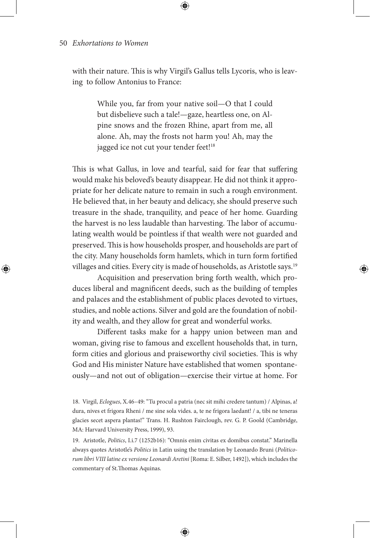with their nature. This is why Virgil's Gallus tells Lycoris, who is leaving to follow Antonius to France:

> While you, far from your native soil—O that I could but disbelieve such a tale!—gaze, heartless one, on Alpine snows and the frozen Rhine, apart from me, all alone. Ah, may the frosts not harm you! Ah, may the jagged ice not cut your tender feet!<sup>18</sup>

This is what Gallus, in love and tearful, said for fear that suffering would make his beloved's beauty disappear. He did not think it appropriate for her delicate nature to remain in such a rough environment. He believed that, in her beauty and delicacy, she should preserve such treasure in the shade, tranquility, and peace of her home. Guarding the harvest is no less laudable than harvesting. The labor of accumulating wealth would be pointless if that wealth were not guarded and preserved. This is how households prosper, and households are part of the city. Many households form hamlets, which in turn form fortified villages and cities. Every city is made of households, as Aristotle says.19

Acquisition and preservation bring forth wealth, which produces liberal and magnificent deeds, such as the building of temples and palaces and the establishment of public places devoted to virtues, studies, and noble actions. Silver and gold are the foundation of nobility and wealth, and they allow for great and wonderful works.

Different tasks make for a happy union between man and woman, giving rise to famous and excellent households that, in turn, form cities and glorious and praiseworthy civil societies. This is why God and His minister Nature have established that women spontaneously—and not out of obligation—exercise their virtue at home. For

18. Virgil, *Eclogues*, X.46–49: "Tu procul a patria (nec sit mihi credere tantum) / Alpinas, a! dura, nives et frigora Rheni / me sine sola vides. a, te ne frigora laedant! / a, tibi ne teneras glacies secet aspera plantas!" Trans. H. Rushton Fairclough, rev. G. P. Goold (Cambridge, MA: Harvard University Press, 1999), 93.

19. Aristotle, *Politics*, I.i.7 (1252b16): "Omnis enim civitas ex domibus constat." Marinella always quotes Aristotle's *Politics* in Latin using the translation by Leonardo Bruni (*Politicorum libri VIII latine ex versione Leonardi Aretini* [Roma: E. Silber, 1492]), which includes the commentary of St.Thomas Aquinas.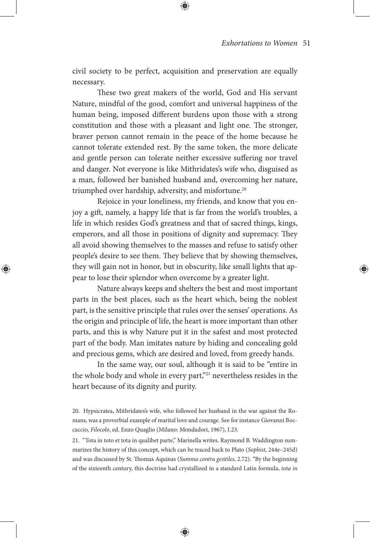civil society to be perfect, acquisition and preservation are equally necessary.

These two great makers of the world, God and His servant Nature, mindful of the good, comfort and universal happiness of the human being, imposed different burdens upon those with a strong constitution and those with a pleasant and light one. The stronger, braver person cannot remain in the peace of the home because he cannot tolerate extended rest. By the same token, the more delicate and gentle person can tolerate neither excessive suffering nor travel and danger. Not everyone is like Mithridates's wife who, disguised as a man, followed her banished husband and, overcoming her nature, triumphed over hardship, adversity, and misfortune.<sup>20</sup>

Rejoice in your loneliness, my friends, and know that you enjoy a gift, namely, a happy life that is far from the world's troubles, a life in which resides God's greatness and that of sacred things, kings, emperors, and all those in positions of dignity and supremacy. They all avoid showing themselves to the masses and refuse to satisfy other people's desire to see them. They believe that by showing themselves, they will gain not in honor, but in obscurity, like small lights that appear to lose their splendor when overcome by a greater light.

Nature always keeps and shelters the best and most important parts in the best places, such as the heart which, being the noblest part, is the sensitive principle that rules over the senses' operations. As the origin and principle of life, the heart is more important than other parts, and this is why Nature put it in the safest and most protected part of the body. Man imitates nature by hiding and concealing gold and precious gems, which are desired and loved, from greedy hands.

In the same way, our soul, although it is said to be "entire in the whole body and whole in every part,"21 nevertheless resides in the heart because of its dignity and purity.

20. Hypsicratea, Mithridates's wife, who followed her husband in the war against the Romans, was a proverbial example of marital love and courage. See for instance Giovanni Boccaccio, *Filocolo*, ed. Enzo Quaglio (Milano: Mondadori, 1967), I.23.

21. "Tota in toto et tota in qualibet parte," Marinella writes. Raymond B. Waddington summarizes the history of this concept, which can be traced back to Plato (*Sophist*, 244e–245d) and was discussed by St. Thomas Aquinas (*Summa contra gentiles*, 2.72). "By the beginning of the sixteenth century, this doctrine had crystallized in a standard Latin formula, *tota in*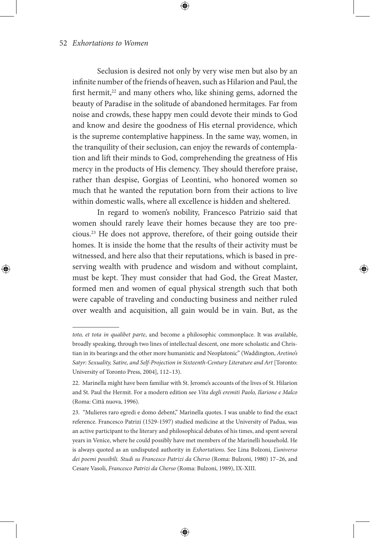Seclusion is desired not only by very wise men but also by an infinite number of the friends of heaven, such as Hilarion and Paul, the first hermit, $22$  and many others who, like shining gems, adorned the beauty of Paradise in the solitude of abandoned hermitages. Far from noise and crowds, these happy men could devote their minds to God and know and desire the goodness of His eternal providence, which is the supreme contemplative happiness. In the same way, women, in the tranquility of their seclusion, can enjoy the rewards of contemplation and lift their minds to God, comprehending the greatness of His mercy in the products of His clemency. They should therefore praise, rather than despise, Gorgias of Leontini, who honored women so much that he wanted the reputation born from their actions to live within domestic walls, where all excellence is hidden and sheltered.

In regard to women's nobility, Francesco Patrizio said that women should rarely leave their homes because they are too precious.23 He does not approve, therefore, of their going outside their homes. It is inside the home that the results of their activity must be witnessed, and here also that their reputations, which is based in preserving wealth with prudence and wisdom and without complaint, must be kept. They must consider that had God, the Great Master, formed men and women of equal physical strength such that both were capable of traveling and conducting business and neither ruled over wealth and acquisition, all gain would be in vain. But, as the

*toto, et tota in qualibet parte*, and become a philosophic commonplace. It was available, broadly speaking, through two lines of intellectual descent, one more scholastic and Christian in its bearings and the other more humanistic and Neoplatonic" (Waddington, *Aretino's Satyr: Sexuality, Satire, and Self-Projection in Sixteenth-Century Literature and Art* [Toronto: University of Toronto Press, 2004], 112–13).

<sup>22.</sup> Marinella might have been familiar with St. Jerome's accounts of the lives of St. Hilarion and St. Paul the Hermit. For a modern edition see *Vita degli eremiti Paolo, Ilarione e Malco*  (Roma: Città nuova, 1996).

<sup>23. &</sup>quot;Mulieres raro egredi e domo debent," Marinella quotes. I was unable to find the exact reference. Francesco Patrizi (1529-1597) studied medicine at the University of Padua, was an active participant to the literary and philosophical debates of his times, and spent several years in Venice, where he could possibly have met members of the Marinelli household. He is always quoted as an undisputed authority in *Exhortations*. See Lina Bolzoni, *L'universo dei poemi possibili. Studi su Francesco Patrizi da Cherso* (Roma: Bulzoni, 1980) 17–26, and Cesare Vasoli, *Francesco Patrizi da Cherso* (Roma: Bulzoni, 1989), IX-XIII.